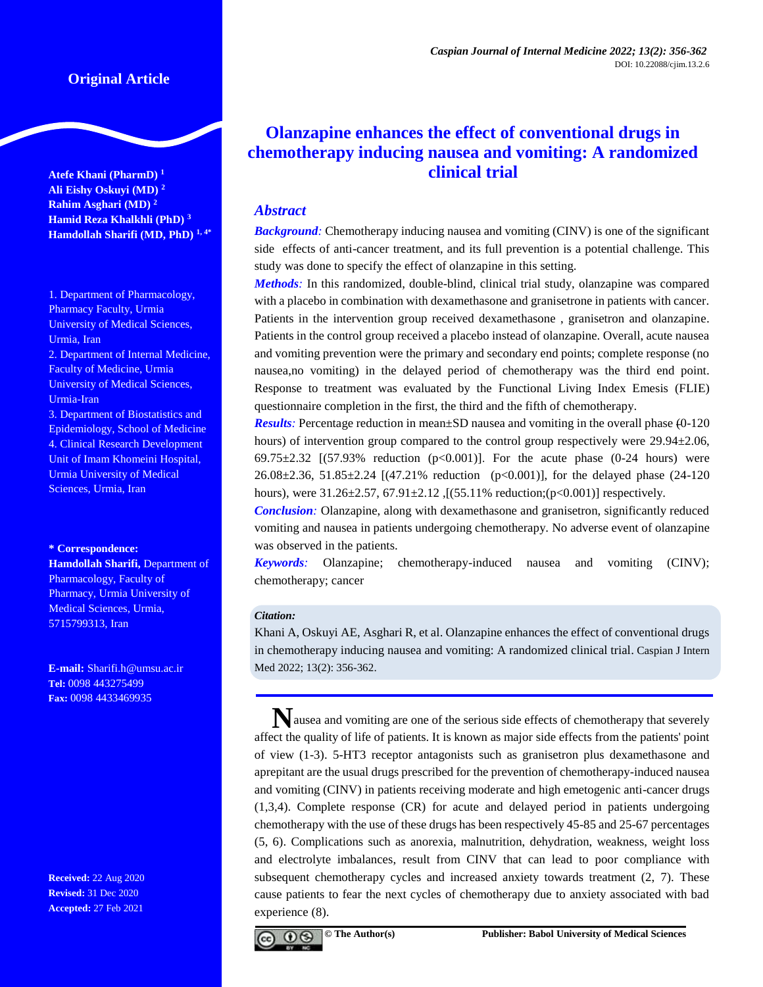**Atefe Khani (PharmD) <sup>1</sup> Ali Eishy Oskuyi (MD) <sup>2</sup> Rahim Asghari (MD) <sup>2</sup> Hamid Reza Khalkhli (PhD) <sup>3</sup> Hamdollah Sharifi (MD, PhD) 1, 4\***

1. Department of Pharmacology, Pharmacy Faculty, Urmia University of Medical Sciences, Urmia, Iran 2. Department of Internal Medicine, Faculty of Medicine, Urmia University of Medical Sciences, Urmia-Iran 3. Department of Biostatistics and Epidemiology, School of Medicine 4. Clinical Research Development

Unit of Imam Khomeini Hospital, Urmia University of Medical Sciences, Urmia, Iran

#### **\* Correspondence:**

**Hamdollah Sharifi,** Department of Pharmacology, Faculty of Pharmacy, Urmia University of Medical Sciences, Urmia, 5715799313, Iran

**E-mail:** [Sharifi.h@umsu.ac.ir](mailto:Sharifi_md1992@yahoo.com) **Tel:** 0098 443275499 **Fax:** 0098 4433469935

**Received:** 22 Aug 2020 **Revised:** 31 Dec 2020 **Accepted:** 27 Feb 2021

# **Olanzapine enhances the effect of conventional drugs in chemotherapy inducing nausea and vomiting: A randomized clinical trial**

# *Abstract*

*Background:* Chemotherapy inducing nausea and vomiting (CINV) is one of the significant side effects of anti-cancer treatment, and its full prevention is a potential challenge. This study was done to specify the effect of olanzapine in this setting.

*Methods:* In this randomized, double-blind, clinical trial study, olanzapine was compared with a placebo in combination with dexamethasone and granisetrone in patients with cancer. Patients in the intervention group received dexamethasone , granisetron and olanzapine. Patients in the control group received a placebo instead of olanzapine. Overall, acute nausea and vomiting prevention were the primary and secondary end points; complete response (no nausea,no vomiting) in the delayed period of chemotherapy was the third end point. Response to treatment was evaluated by the Functional Living Index Emesis (FLIE) questionnaire completion in the first, the third and the fifth of chemotherapy.

*Results:* Percentage reduction in mean±SD nausea and vomiting in the overall phase (0-120 hours) of intervention group compared to the control group respectively were 29.94 $\pm$ 2.06, 69.75±2.32 [(57.93% reduction (p<0.001)]. For the acute phase (0-24 hours) were 26.08±2.36, 51.85±2.24 [(47.21% reduction (p<0.001)], for the delayed phase (24-120 hours), were  $31.26 \pm 2.57$ ,  $67.91 \pm 2.12$ , [(55.11% reduction;(p<0.001)] respectively.

*Conclusion:* Olanzapine, along with dexamethasone and granisetron, significantly reduced vomiting and nausea in patients undergoing chemotherapy. No adverse event of olanzapine was observed in the patients.

*Keywords:* Olanzapine; chemotherapy-induced nausea and vomiting (CINV); chemotherapy; cancer

### *Citation:*

Khani A, Oskuyi AE, Asghari R, et al. Olanzapine enhances the effect of conventional drugs in chemotherapy inducing nausea and vomiting: A randomized clinical trial. Caspian J Intern Med 2022; 13(2): 356-362.

Nausea and vomiting are one of the serious side effects of chemotherapy that severely affect the quality of life of patients. It is known as major side effects from the patients' point of view (1-3). 5-HT3 receptor antagonists such as granisetron plus dexamethasone and aprepitant are the usual drugs prescribed for the prevention of chemotherapy-induced nausea and vomiting (CINV) in patients receiving moderate and high emetogenic anti-cancer drugs (1,3,4). Complete response (CR) for acute and delayed period in patients undergoing chemotherapy with the use of these drugs has been respectively 45-85 and 25-67 percentages (5, 6). Complications such as anorexia, malnutrition, dehydration, weakness, weight loss and electrolyte imbalances, result from CINV that can lead to poor compliance with subsequent chemotherapy cycles and increased anxiety towards treatment (2, 7). These cause patients to fear the next cycles of chemotherapy due to anxiety associated with bad experience (8).

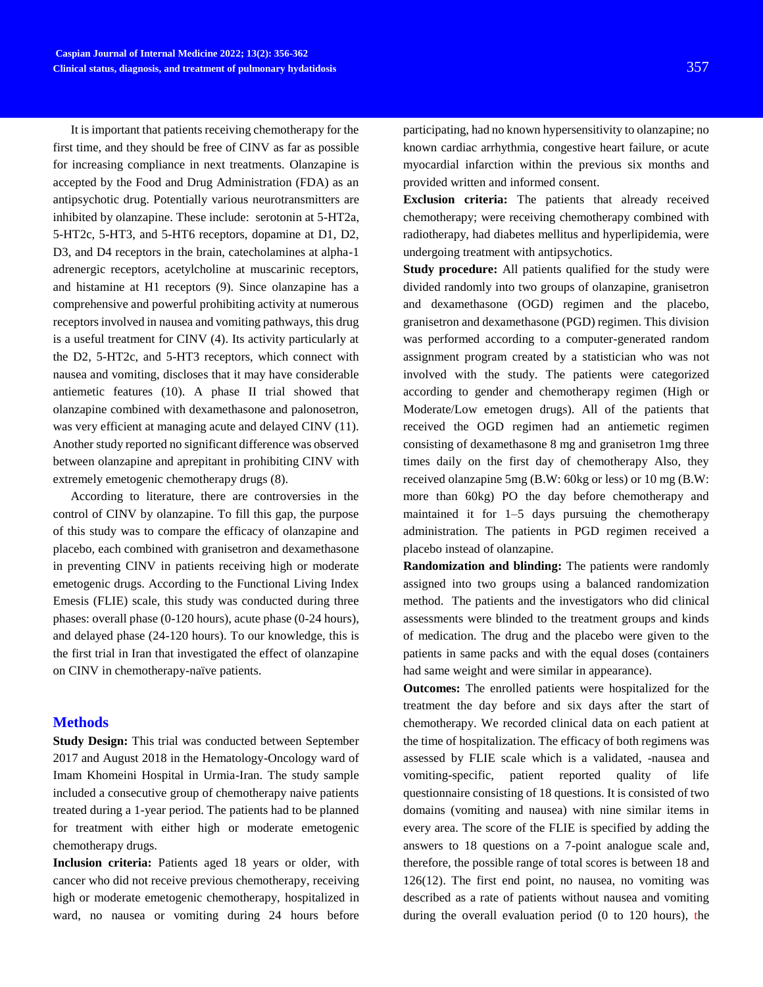It is important that patients receiving chemotherapy for the first time, and they should be free of CINV as far as possible for increasing compliance in next treatments. Olanzapine is accepted by the Food and Drug Administration (FDA) as an antipsychotic drug. Potentially various neurotransmitters are inhibited by olanzapine. These include: serotonin at 5-HT2a, 5-HT2c, 5-HT3, and 5-HT6 receptors, dopamine at D1, D2, D3, and D4 receptors in the brain, catecholamines at alpha-1 adrenergic receptors, acetylcholine at muscarinic receptors, and histamine at H1 receptors (9). Since olanzapine has a comprehensive and powerful prohibiting activity at numerous receptors involved in nausea and vomiting pathways, this drug is a useful treatment for CINV (4). Its activity particularly at the D2, 5-HT2c, and 5-HT3 receptors, which connect with nausea and vomiting, discloses that it may have considerable antiemetic features (10). A phase II trial showed that olanzapine combined with dexamethasone and palonosetron, was very efficient at managing acute and delayed CINV (11). Another study reported no significant difference was observed between olanzapine and aprepitant in prohibiting CINV with extremely emetogenic chemotherapy drugs (8).

According to literature, there are controversies in the control of CINV by olanzapine. To fill this gap, the purpose of this study was to compare the efficacy of olanzapine and placebo, each combined with granisetron and dexamethasone in preventing CINV in patients receiving high or moderate emetogenic drugs. According to the Functional Living Index Emesis (FLIE) scale, this study was conducted during three phases: overall phase (0-120 hours), acute phase (0-24 hours), and delayed phase (24-120 hours). To our knowledge, this is the first trial in Iran that investigated the effect of olanzapine on CINV in chemotherapy-naïve patients.

# **Methods**

**Study Design:** This trial was conducted between September 2017 and August 2018 in the Hematology-Oncology ward of Imam Khomeini Hospital in Urmia-Iran. The study sample included a consecutive group of chemotherapy naive patients treated during a 1-year period. The patients had to be planned for treatment with either high or moderate emetogenic chemotherapy drugs.

**Inclusion criteria:** Patients aged 18 years or older, with cancer who did not receive previous chemotherapy, receiving high or moderate emetogenic chemotherapy, hospitalized in ward, no nausea or vomiting during 24 hours before

participating, had no known hypersensitivity to olanzapine; no known cardiac arrhythmia, congestive heart failure, or acute myocardial infarction within the previous six months and provided written and informed consent.

**Exclusion criteria:** The patients that already received chemotherapy; were receiving chemotherapy combined with radiotherapy, had diabetes mellitus and hyperlipidemia, were undergoing treatment with antipsychotics.

**Study procedure:** All patients qualified for the study were divided randomly into two groups of olanzapine, granisetron and dexamethasone (OGD) regimen and the placebo, granisetron and dexamethasone (PGD) regimen. This division was performed according to a computer-generated random assignment program created by a statistician who was not involved with the study. The patients were categorized according to gender and chemotherapy regimen (High or Moderate/Low emetogen drugs). All of the patients that received the OGD regimen had an antiemetic regimen consisting of dexamethasone 8 mg and granisetron 1mg three times daily on the first day of chemotherapy Also, they received olanzapine 5mg (B.W: 60kg or less) or 10 mg (B.W: more than 60kg) PO the day before chemotherapy and maintained it for 1–5 days pursuing the chemotherapy administration. The patients in PGD regimen received a placebo instead of olanzapine.

**Randomization and blinding:** The patients were randomly assigned into two groups using a balanced randomization method. The patients and the investigators who did clinical assessments were blinded to the treatment groups and kinds of medication. The drug and the placebo were given to the patients in same packs and with the equal doses (containers had same weight and were similar in appearance).

**Outcomes:** The enrolled patients were hospitalized for the treatment the day before and six days after the start of chemotherapy. We recorded clinical data on each patient at the time of hospitalization. The efficacy of both regimens was assessed by FLIE scale which is a validated, -nausea and vomiting-specific, patient reported quality of life questionnaire consisting of 18 questions. It is consisted of two domains (vomiting and nausea) with nine similar items in every area. The score of the FLIE is specified by adding the answers to 18 questions on a 7-point analogue scale and, therefore, the possible range of total scores is between 18 and 126(12). The first end point, no nausea, no vomiting was described as a rate of patients without nausea and vomiting during the overall evaluation period (0 to 120 hours), the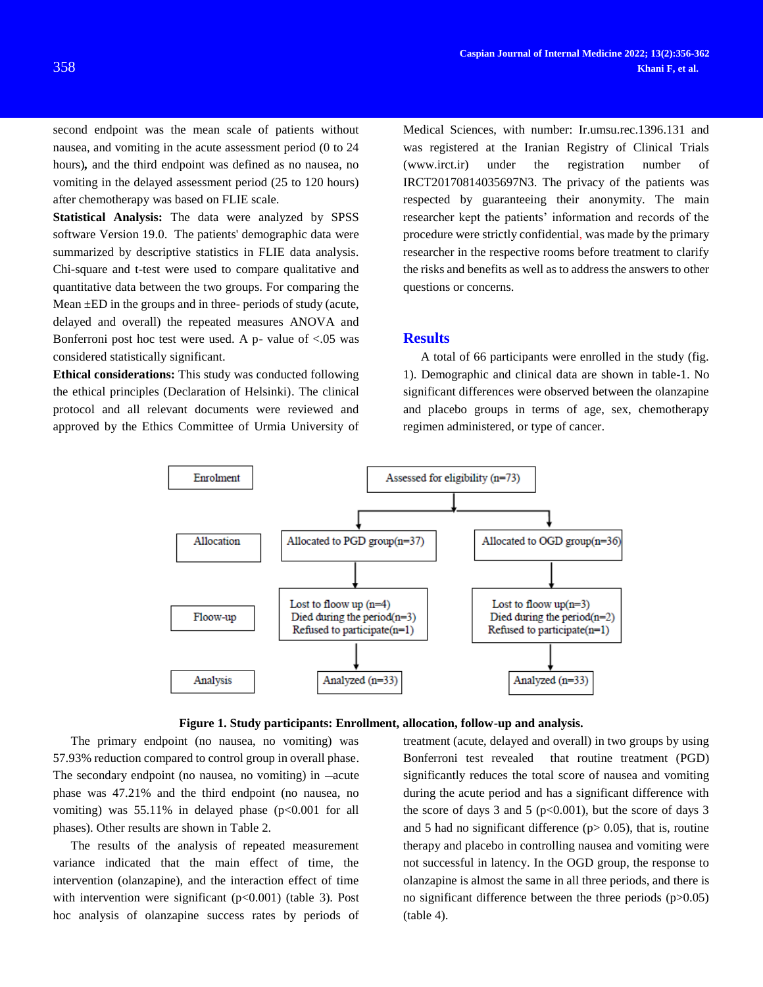second endpoint was the mean scale of patients without nausea, and vomiting in the acute assessment period (0 to 24 hours)*,* and the third endpoint was defined as no nausea, no vomiting in the delayed assessment period (25 to 120 hours) after chemotherapy was based on FLIE scale.

**Statistical Analysis:** The data were analyzed by SPSS software Version 19.0. The patients' demographic data were summarized by descriptive statistics in FLIE data analysis. Chi-square and t-test were used to compare qualitative and quantitative data between the two groups. For comparing the Mean  $\pm$ ED in the groups and in three- periods of study (acute, delayed and overall) the repeated measures ANOVA and Bonferroni post hoc test were used. A  $p$ - value of <.05 was considered statistically significant.

**Ethical considerations:** This study was conducted following the ethical principles (Declaration of Helsinki). The clinical protocol and all relevant documents were reviewed and approved by the Ethics Committee of Urmia University of Medical Sciences, with number: Ir.umsu.rec.1396.131 and was registered at the Iranian Registry of Clinical Trials (www.irct.ir) under the registration number of IRCT20170814035697N3. The privacy of the patients was respected by guaranteeing their anonymity. The main researcher kept the patients' information and records of the procedure were strictly confidential, was made by the primary researcher in the respective rooms before treatment to clarify the risks and benefits as well as to address the answers to other questions or concerns.

#### **Results**

A total of 66 participants were enrolled in the study (fig. 1). Demographic and clinical data are shown in table-1. No significant differences were observed between the olanzapine and placebo groups in terms of age, sex, chemotherapy regimen administered, or type of cancer.





The primary endpoint (no nausea, no vomiting) was 57.93% reduction compared to control group in overall phase. The secondary endpoint (no nausea, no vomiting) in  $-\text{acute}$ phase was 47.21% and the third endpoint (no nausea, no vomiting) was  $55.11\%$  in delayed phase ( $p<0.001$  for all phases). Other results are shown in Table 2.

The results of the analysis of repeated measurement variance indicated that the main effect of time, the intervention (olanzapine), and the interaction effect of time with intervention were significant  $(p<0.001)$  (table 3). Post hoc analysis of olanzapine success rates by periods of

treatment (acute, delayed and overall) in two groups by using Bonferroni test revealed that routine treatment (PGD) significantly reduces the total score of nausea and vomiting during the acute period and has a significant difference with the score of days 3 and 5 ( $p<0.001$ ), but the score of days 3 and 5 had no significant difference ( $p$  > 0.05), that is, routine therapy and placebo in controlling nausea and vomiting were not successful in latency. In the OGD group, the response to olanzapine is almost the same in all three periods, and there is no significant difference between the three periods (p>0.05) (table 4).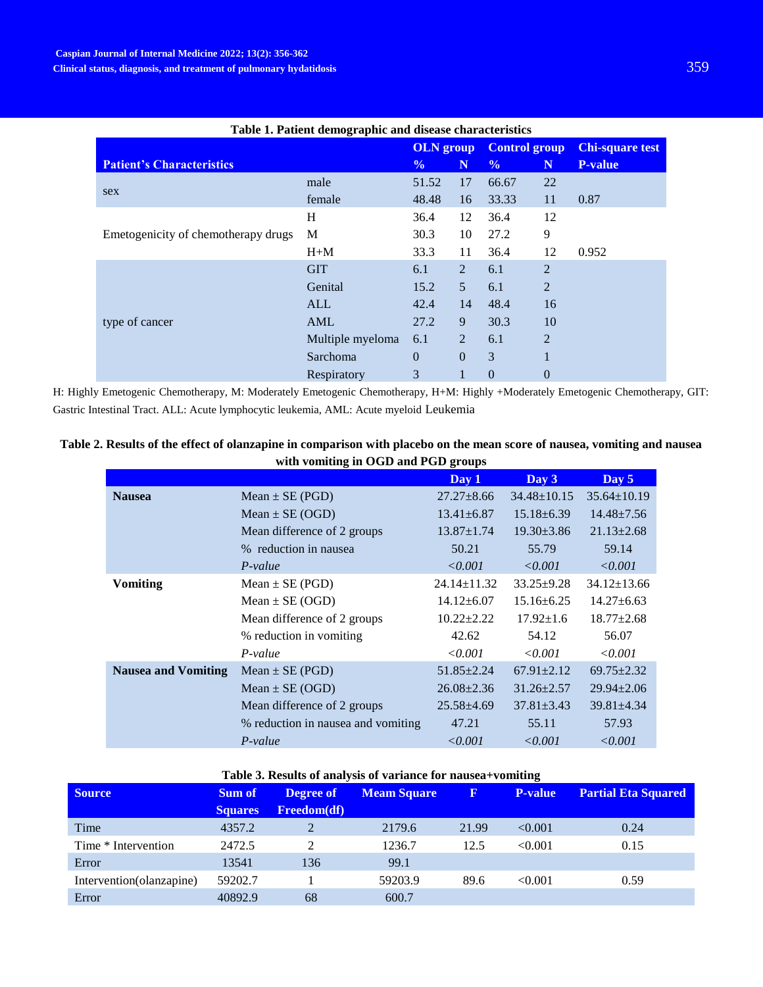| Table 1. Patient demographic and disease characteristics |                  |                |                 |                      |                |                        |
|----------------------------------------------------------|------------------|----------------|-----------------|----------------------|----------------|------------------------|
|                                                          | <b>OLN</b> group |                |                 | <b>Control group</b> |                | <b>Chi-square test</b> |
| <b>Patient's Characteristics</b>                         |                  | $\frac{0}{0}$  | N               | $\frac{0}{0}$        | N              | <b>P-value</b>         |
| sex                                                      | male             | 51.52          | 17              | 66.67                | 22             |                        |
|                                                          | female           | 48.48          | 16              | 33.33                | 11             | 0.87                   |
|                                                          | H                | 36.4           | 12              | 36.4                 | 12             |                        |
| Emetogenicity of chemotherapy drugs                      | M                | 30.3           | 10              | 27.2                 | 9              |                        |
|                                                          | $H+M$            | 33.3           | 11              | 36.4                 | 12             | 0.952                  |
|                                                          | <b>GIT</b>       | 6.1            | $\overline{2}$  | 6.1                  | 2              |                        |
|                                                          | Genital          | 15.2           | $5\overline{)}$ | 6.1                  | $\overline{2}$ |                        |
|                                                          | <b>ALL</b>       | 42.4           | 14              | 48.4                 | 16             |                        |
| type of cancer                                           | AML              | 27.2           | 9               | 30.3                 | 10             |                        |
|                                                          | Multiple myeloma | 6.1            | $\overline{2}$  | 6.1                  | $\overline{2}$ |                        |
|                                                          | Sarchoma         | $\overline{0}$ | $\overline{0}$  | 3                    |                |                        |
|                                                          | Respiratory      | 3              |                 | $\overline{0}$       | 0              |                        |

H: Highly Emetogenic Chemotherapy, M: Moderately Emetogenic Chemotherapy, H+M: Highly +Moderately Emetogenic Chemotherapy, GIT: Gastric Intestinal Tract. ALL: Acute lymphocytic leukemia, AML: Acute myeloid Leukemia

| Table 2. Results of the effect of olanzapine in comparison with placebo on the mean score of nausea, vomiting and nausea |
|--------------------------------------------------------------------------------------------------------------------------|
| with vomiting in OGD and PGD groups                                                                                      |

|                            |                                    | Day 1             | Day 3             | Day 5             |
|----------------------------|------------------------------------|-------------------|-------------------|-------------------|
| <b>Nausea</b>              | Mean $\pm$ SE (PGD)                | $27.27 \pm 8.66$  | $34.48 \pm 10.15$ | $35.64 \pm 10.19$ |
|                            | Mean $\pm$ SE (OGD)                | $13.41 \pm 6.87$  | $15.18 \pm 6.39$  | $14.48 \pm 7.56$  |
|                            | Mean difference of 2 groups        | $13.87 \pm 1.74$  | $19.30 \pm 3.86$  | $21.13 \pm 2.68$  |
|                            | % reduction in nausea              | 50.21             | 55.79             | 59.14             |
|                            | $P-value$                          | < 0.001           | < 0.001           | < 0.001           |
| <b>Vomiting</b>            | Mean $\pm$ SE (PGD)                | $24.14 \pm 11.32$ | $33.25 \pm 9.28$  | $34.12 \pm 13.66$ |
|                            | Mean $\pm$ SE (OGD)                | $14.12 \pm 6.07$  | $15.16 \pm 6.25$  | $14.27 \pm 6.63$  |
|                            | Mean difference of 2 groups        | $10.22 \pm 2.22$  | $17.92 \pm 1.6$   | $18.77 \pm 2.68$  |
|                            | % reduction in vomiting            | 42.62             | 54.12             | 56.07             |
|                            | $P-value$                          | < 0.001           | $\le 0.001$       | < 0.001           |
| <b>Nausea and Vomiting</b> | Mean $\pm$ SE (PGD)                | $51.85 \pm 2.24$  | $67.91 \pm 2.12$  | $69.75 \pm 2.32$  |
|                            | Mean $\pm$ SE (OGD)                | $26.08 \pm 2.36$  | $31.26 \pm 2.57$  | $29.94 \pm 2.06$  |
|                            | Mean difference of 2 groups        | $25.58 \pm 4.69$  | $37.81 \pm 3.43$  | $39.81 \pm 4.34$  |
|                            | % reduction in nausea and vomiting | 47.21             | 55.11             | 57.93             |
|                            | P-value                            | < 0.001           | < 0.001           | < 0.001           |

# **Table 3. Results of analysis of variance for nausea+vomiting**

| <b>Source</b>            | <b>Sum of</b><br><b>Squares</b> | <b>Degree of</b><br><b>Freedom(df)</b> | <b>Meam Square</b> | $\bf{F}$ | <b>P-value</b> | <b>Partial Eta Squared</b> |
|--------------------------|---------------------------------|----------------------------------------|--------------------|----------|----------------|----------------------------|
| Time                     | 4357.2                          |                                        | 2179.6             | 21.99    | < 0.001        | 0.24                       |
| Time * Intervention      | 2472.5                          | $2^{\circ}$                            | 1236.7             | 12.5     | < 0.001        | 0.15                       |
| Error                    | 13541                           | 136                                    | 99.1               |          |                |                            |
| Intervention(olanzapine) | 59202.7                         |                                        | 59203.9            | 89.6     | < 0.001        | 0.59                       |
| Error                    | 40892.9                         | 68                                     | 600.7              |          |                |                            |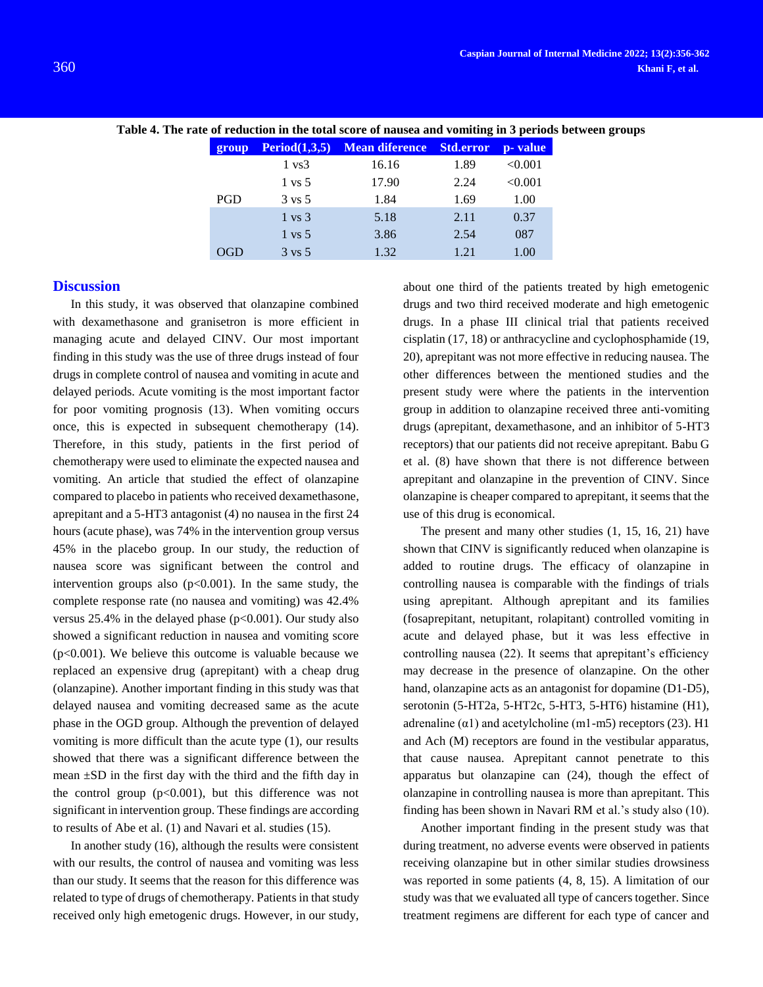| group      | Period(1,3,5)     | Mean diference Std.error |      | p- value |
|------------|-------------------|--------------------------|------|----------|
|            | $1 \text{ vs } 3$ | 16.16                    | 1.89 | < 0.001  |
|            | $1 \text{ vs } 5$ | 17.90                    | 2.24 | < 0.001  |
| <b>PGD</b> | $3 \text{ vs } 5$ | 1.84                     | 1.69 | 1.00     |
|            | $1 \text{ vs } 3$ | 5.18                     | 2.11 | 0.37     |
|            | $1 \text{ vs } 5$ | 3.86                     | 2.54 | 087      |
|            | $3 \text{ vs } 5$ | 1.32                     | 1 21 | 1.00     |

**Table 4. The rate of reduction in the total score of nausea and vomiting in 3 periods between groups**

#### **Discussion**

In this study, it was observed that olanzapine combined with dexamethasone and granisetron is more efficient in managing acute and delayed CINV. Our most important finding in this study was the use of three drugs instead of four drugs in complete control of nausea and vomiting in acute and delayed periods. Acute vomiting is the most important factor for poor vomiting prognosis (13). When vomiting occurs once, this is expected in subsequent chemotherapy (14). Therefore, in this study, patients in the first period of chemotherapy were used to eliminate the expected nausea and vomiting. An article that studied the effect of olanzapine compared to placebo in patients who received dexamethasone, aprepitant and a 5-HT3 antagonist (4) no nausea in the first 24 hours (acute phase), was 74% in the intervention group versus 45% in the placebo group. In our study, the reduction of nausea score was significant between the control and intervention groups also  $(p<0.001)$ . In the same study, the complete response rate (no nausea and vomiting) was 42.4% versus  $25.4\%$  in the delayed phase ( $p<0.001$ ). Our study also showed a significant reduction in nausea and vomiting score  $(p<0.001)$ . We believe this outcome is valuable because we replaced an expensive drug (aprepitant) with a cheap drug (olanzapine). Another important finding in this study was that delayed nausea and vomiting decreased same as the acute phase in the OGD group. Although the prevention of delayed vomiting is more difficult than the acute type (1), our results showed that there was a significant difference between the mean ±SD in the first day with the third and the fifth day in the control group  $(p<0.001)$ , but this difference was not significant in intervention group. These findings are according to results of Abe et al. (1) and Navari et al. studies (15).

In another study (16), although the results were consistent with our results, the control of nausea and vomiting was less than our study. It seems that the reason for this difference was related to type of drugs of chemotherapy. Patients in that study received only high emetogenic drugs. However, in our study,

about one third of the patients treated by high emetogenic drugs and two third received moderate and high emetogenic drugs. In a phase III clinical trial that patients received cisplatin (17, 18) or anthracycline and cyclophosphamide (19, 20), aprepitant was not more effective in reducing nausea. The other differences between the mentioned studies and the present study were where the patients in the intervention group in addition to olanzapine received three anti-vomiting drugs (aprepitant, dexamethasone, and an inhibitor of 5-HT3 receptors) that our patients did not receive aprepitant. Babu G et al. (8) have shown that there is not difference between aprepitant and olanzapine in the prevention of CINV. Since olanzapine is cheaper compared to aprepitant, it seems that the use of this drug is economical.

The present and many other studies (1, 15, 16, 21) have shown that CINV is significantly reduced when olanzapine is added to routine drugs. The efficacy of olanzapine in controlling nausea is comparable with the findings of trials using aprepitant. Although aprepitant and its families (fosaprepitant, netupitant, rolapitant) controlled vomiting in acute and delayed phase, but it was less effective in controlling nausea (22). It seems that aprepitant's efficiency may decrease in the presence of olanzapine. On the other hand, olanzapine acts as an antagonist for dopamine (D1-D5), serotonin (5-HT2a, 5-HT2c, 5-HT3, 5-HT6) histamine (H1), adrenaline  $(\alpha 1)$  and acetylcholine (m1-m5) receptors (23). H1 and Ach (M) receptors are found in the vestibular apparatus, that cause nausea. Aprepitant cannot penetrate to this apparatus but olanzapine can (24), though the effect of olanzapine in controlling nausea is more than aprepitant. This finding has been shown in Navari RM et al.'s study also (10).

Another important finding in the present study was that during treatment, no adverse events were observed in patients receiving olanzapine but in other similar studies drowsiness was reported in some patients (4, 8, 15). A limitation of our study was that we evaluated all type of cancers together. Since treatment regimens are different for each type of cancer and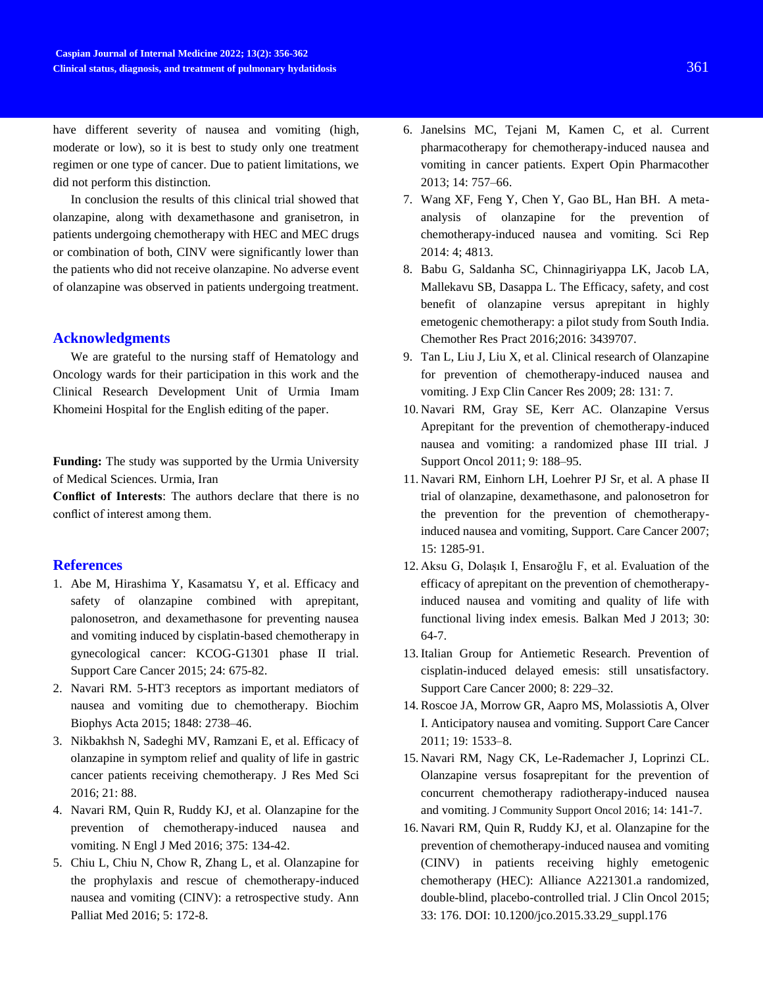have different severity of nausea and vomiting (high, moderate or low), so it is best to study only one treatment regimen or one type of cancer. Due to patient limitations, we did not perform this distinction.

In conclusion the results of this clinical trial showed that olanzapine, along with dexamethasone and granisetron, in patients undergoing chemotherapy with HEC and MEC drugs or combination of both, CINV were significantly lower than the patients who did not receive olanzapine. No adverse event of olanzapine was observed in patients undergoing treatment.

# **Acknowledgments**

We are grateful to the nursing staff of Hematology and Oncology wards for their participation in this work and the Clinical Research Development Unit of Urmia Imam Khomeini Hospital for the English editing of the paper.

**Funding:** The study was supported by the Urmia University of Medical Sciences. Urmia, Iran

**Conflict of Interests**: The authors declare that there is no conflict of interest among them.

# **References**

- 1. Abe M, Hirashima Y, Kasamatsu Y, et al. Efficacy and safety of olanzapine combined with aprepitant, palonosetron, and dexamethasone for preventing nausea and vomiting induced by cisplatin-based chemotherapy in gynecological cancer: KCOG-G1301 phase II trial. Support Care Cancer 2015; 24: 675-82.
- 2. Navari RM. 5-HT3 receptors as important mediators of nausea and vomiting due to chemotherapy. Biochim Biophys Acta 2015; 1848: 2738–46.
- 3. Nikbakhsh N, Sadeghi MV, Ramzani E, et al. Efficacy of olanzapine in symptom relief and quality of life in gastric cancer patients receiving chemotherapy. J Res Med Sci 2016; 21: 88.
- 4. Navari RM, Quin R, Ruddy KJ, et al. Olanzapine for the prevention of chemotherapy-induced nausea and vomiting. N Engl J Med 2016; 375: 134-42.
- 5. Chiu L, Chiu N, Chow R, Zhang L, et al. Olanzapine for the prophylaxis and rescue of chemotherapy-induced nausea and vomiting (CINV): a retrospective study. Ann Palliat Med 2016; 5: 172-8.
- 6. Janelsins MC, Tejani M, Kamen C, et al. Current pharmacotherapy for chemotherapy-induced nausea and vomiting in cancer patients. Expert Opin Pharmacother 2013; 14: 757–66.
- 7. Wang XF, Feng Y, Chen Y, Gao BL, Han BH. A metaanalysis of olanzapine for the prevention of chemotherapy-induced nausea and vomiting. Sci Rep 2014: 4; 4813.
- 8. Babu G, Saldanha SC, Chinnagiriyappa LK, Jacob LA, Mallekavu SB, Dasappa L. The Efficacy, safety, and cost benefit of olanzapine versus aprepitant in highly emetogenic chemotherapy: a pilot study from South India. Chemother Res Pract 2016;2016: 3439707.
- 9. Tan L, Liu J, Liu X, et al. Clinical research of Olanzapine for prevention of chemotherapy-induced nausea and vomiting. J Exp Clin Cancer Res 2009; 28: 131: 7.
- 10. Navari RM, Gray SE, Kerr AC. Olanzapine Versus Aprepitant for the prevention of chemotherapy-induced nausea and vomiting: a randomized phase III trial. J Support Oncol 2011; 9: 188–95.
- 11. Navari RM, Einhorn LH, Loehrer PJ Sr, et al. A phase II trial of olanzapine, dexamethasone, and palonosetron for the prevention for the prevention of chemotherapyinduced nausea and vomiting, Support. Care Cancer 2007; 15: 1285-91.
- 12. Aksu G, Dolaşık I, Ensaroğlu F, et al. Evaluation of the efficacy of aprepitant on the prevention of chemotherapyinduced nausea and vomiting and quality of life with functional living index emesis. Balkan Med J 2013; 30: 64-7.
- 13. Italian Group for Antiemetic Research. Prevention of cisplatin-induced delayed emesis: still unsatisfactory. Support Care Cancer 2000; 8: 229–32.
- 14. Roscoe JA, Morrow GR, Aapro MS, Molassiotis A, Olver I. Anticipatory nausea and vomiting. Support Care Cancer 2011; 19: 1533–8.
- 15. Navari RM, Nagy CK, Le-Rademacher J, Loprinzi CL. Olanzapine versus fosaprepitant for the prevention of concurrent chemotherapy radiotherapy-induced nausea and vomiting. J Community Support Oncol 2016; 14: 141-7.
- 16. Navari RM, Quin R, Ruddy KJ, et al. Olanzapine for the prevention of chemotherapy-induced nausea and vomiting (CINV) in patients receiving highly emetogenic chemotherapy (HEC): Alliance A221301.a randomized, double-blind, placebo-controlled trial. J Clin Oncol 2015; 33: 176. DOI: 10.1200/jco.2015.33.29\_suppl.176